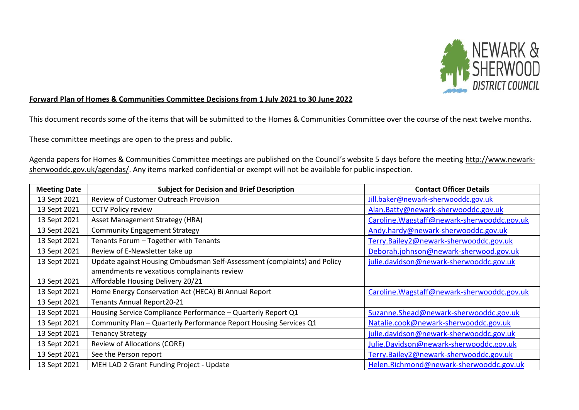

## **Forward Plan of Homes & Communities Committee Decisions from 1 July 2021 to 30 June 2022**

This document records some of the items that will be submitted to the Homes & Communities Committee over the course of the next twelve months.

These committee meetings are open to the press and public.

Agenda papers for Homes & Communities Committee meetings are published on the Council's website 5 days before the meeting [http://www.newark](http://www.newark-sherwooddc.gov.uk/agendas/)[sherwooddc.gov.uk/agendas/.](http://www.newark-sherwooddc.gov.uk/agendas/) Any items marked confidential or exempt will not be available for public inspection.

| <b>Meeting Date</b> | <b>Subject for Decision and Brief Description</b>                        | <b>Contact Officer Details</b>              |
|---------------------|--------------------------------------------------------------------------|---------------------------------------------|
| 13 Sept 2021        | Review of Customer Outreach Provision                                    | Jill.baker@newark-sherwooddc.gov.uk         |
| 13 Sept 2021        | <b>CCTV Policy review</b>                                                | Alan.Batty@newark-sherwooddc.gov.uk         |
| 13 Sept 2021        | Asset Management Strategy (HRA)                                          | Caroline. Wagstaff@newark-sherwooddc.gov.uk |
| 13 Sept 2021        | <b>Community Engagement Strategy</b>                                     | Andy.hardy@newark-sherwooddc.gov.uk         |
| 13 Sept 2021        | Tenants Forum - Together with Tenants                                    | Terry.Bailey2@newark-sherwooddc.gov.uk      |
| 13 Sept 2021        | Review of E-Newsletter take up                                           | Deborah.johnson@newark-sherwood.gov.uk      |
| 13 Sept 2021        | Update against Housing Ombudsman Self-Assessment (complaints) and Policy | julie.davidson@newark-sherwooddc.gov.uk     |
|                     | amendments re vexatious complainants review                              |                                             |
| 13 Sept 2021        | Affordable Housing Delivery 20/21                                        |                                             |
| 13 Sept 2021        | Home Energy Conservation Act (HECA) Bi Annual Report                     | Caroline. Wagstaff@newark-sherwooddc.gov.uk |
| 13 Sept 2021        | Tenants Annual Report20-21                                               |                                             |
| 13 Sept 2021        | Housing Service Compliance Performance - Quarterly Report Q1             | Suzanne.Shead@newark-sherwooddc.gov.uk      |
| 13 Sept 2021        | Community Plan - Quarterly Performance Report Housing Services Q1        | Natalie.cook@newark-sherwooddc.gov.uk       |
| 13 Sept 2021        | <b>Tenancy Strategy</b>                                                  | julie.davidson@newark-sherwooddc.gov.uk     |
| 13 Sept 2021        | <b>Review of Allocations (CORE)</b>                                      | Julie.Davidson@newark-sherwooddc.gov.uk     |
| 13 Sept 2021        | See the Person report                                                    | Terry.Bailey2@newark-sherwooddc.gov.uk      |
| 13 Sept 2021        | MEH LAD 2 Grant Funding Project - Update                                 | Helen.Richmond@newark-sherwooddc.gov.uk     |